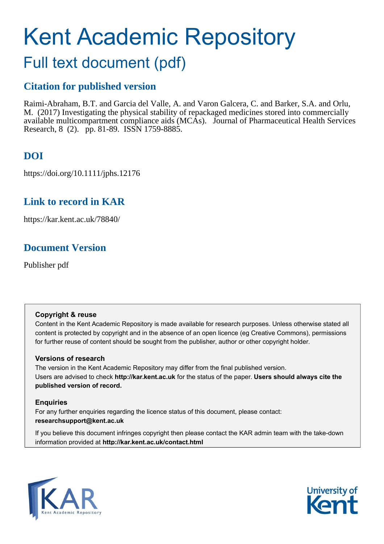# Kent Academic Repository

## Full text document (pdf)

## **Citation for published version**

Raimi-Abraham, B.T. and Garcia del Valle, A. and Varon Galcera, C. and Barker, S.A. and Orlu, M. (2017) Investigating the physical stability of repackaged medicines stored into commercially available multicompartment compliance aids (MCAs). Journal of Pharmaceutical Health Services Research, 8 (2). pp. 81-89. ISSN 1759-8885.

## **DOI**

https://doi.org/10.1111/jphs.12176

## **Link to record in KAR**

https://kar.kent.ac.uk/78840/

## **Document Version**

Publisher pdf

## **Copyright & reuse**

Content in the Kent Academic Repository is made available for research purposes. Unless otherwise stated all content is protected by copyright and in the absence of an open licence (eg Creative Commons), permissions for further reuse of content should be sought from the publisher, author or other copyright holder.

## **Versions of research**

The version in the Kent Academic Repository may differ from the final published version. Users are advised to check **http://kar.kent.ac.uk** for the status of the paper. **Users should always cite the published version of record.**

## **Enquiries**

For any further enquiries regarding the licence status of this document, please contact: **researchsupport@kent.ac.uk**

If you believe this document infringes copyright then please contact the KAR admin team with the take-down information provided at **http://kar.kent.ac.uk/contact.html**



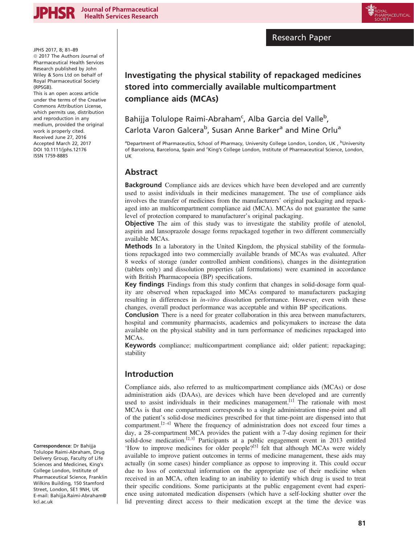

Research Paper

JPHS 2017, 8; 81–89  $@$  2017 The Authors Journal of Pharmaceutical Health Services Research published by John Wiley & Sons Ltd on behalf of Royal Pharmaceutical Society (RPSGB).

This is an open access article under the terms of the [Creative](http://creativecommons.org/licenses/by/4.0/) [Commons Attribution](http://creativecommons.org/licenses/by/4.0/) License, which permits use, distribution and reproduction in any medium, provided the original work is properly cited. Received June 27, 2016 Accepted March 22, 2017 DOI 10.1111/jphs.12176 ISSN 1759-8885

## Investigating the physical stability of repackaged medicines stored into commercially available multicompartment compliance aids (MCAs)

## Bahijja Tolulope Raimi-Abraham<sup>c</sup>, Alba Garcia del Valle<sup>b</sup>, Carlota Varon Galcera<sup>b</sup>, Susan Anne Barker<sup>a</sup> and Mine Orlu<sup>a</sup>

aDepartment of Pharmaceutics, School of Pharmacy, University College London, London, UK, bUniversity of Barcelona, Barcelona, Spain and 'King's College London, Institute of Pharmaceutical Science, London, UK

## Abstract

Background Compliance aids are devices which have been developed and are currently used to assist individuals in their medicines management. The use of compliance aids involves the transfer of medicines from the manufacturers' original packaging and repackaged into an multicompartment compliance aid (MCA). MCAs do not guarantee the same level of protection compared to manufacturer's original packaging.

Objective The aim of this study was to investigate the stability profile of atenolol, aspirin and lansoprazole dosage forms repackaged together in two different commercially available MCAs.

Methods In a laboratory in the United Kingdom, the physical stability of the formulations repackaged into two commercially available brands of MCAs was evaluated. After 8 weeks of storage (under controlled ambient conditions), changes in the disintegration (tablets only) and dissolution properties (all formulations) were examined in accordance with British Pharmacopoeia (BP) specifications.

Key findings Findings from this study confirm that changes in solid-dosage form quality are observed when repackaged into MCAs compared to manufacturers packaging resulting in differences in in-vitro dissolution performance. However, even with these changes, overall product performance was acceptable and within BP specifications.

**Conclusion** There is a need for greater collaboration in this area between manufacturers, hospital and community pharmacists, academics and policymakers to increase the data available on the physical stability and in turn performance of medicines repackaged into MCAs.

Keywords compliance; multicompartment compliance aid; older patient; repackaging; stability

## Introduction

Compliance aids, also referred to as multicompartment compliance aids (MCAs) or dose administration aids (DAAs), are devices which have been developed and are currently used to assist individuals in their medicines management.<sup>[1]</sup> The rationale with most MCAs is that one compartment corresponds to a single administration time-point and all of the patient's solid-dose medicines prescribed for that time-point are dispensed into that compartment.<sup>[2-4]</sup> Where the frequency of administration does not exceed four times a day, a 28-compartment MCA provides the patient with a 7-day dosing regimen for their solid-dose medication.<sup>[2,3]</sup> Participants at a public engagement event in 2013 entitled 'How to improve medicines for older people?<sup>[5]</sup> felt that although MCAs were widely available to improve patient outcomes in terms of medicine management, these aids may actually (in some cases) hinder compliance as oppose to improving it. This could occur due to loss of contextual information on the appropriate use of their medicine when received in an MCA, often leading to an inability to identify which drug is used to treat their specific conditions. Some participants at the public engagement event had experience using automated medication dispensers (which have a self-locking shutter over the lid preventing direct access to their medication except at the time the device was

Correspondence: Dr Bahijja Tolulope Raimi-Abraham, Drug Delivery Group, Faculty of Life Sciences and Medicines, King's College London, Institute of Pharmaceutical Science, Franklin Wilkins Building, 150 Stamford Street, London, SE1 9NH, UK E-mail: Bahijja.Raimi-Abraham@ kcl.ac.uk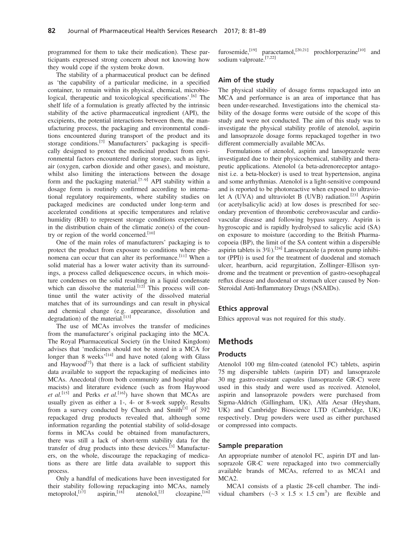programmed for them to take their medication). These participants expressed strong concern about not knowing how they would cope if the system broke down.

The stability of a pharmaceutical product can be defined as 'the capability of a particular medicine, in a specified container, to remain within its physical, chemical, microbiological, therapeutic and toxicological specifications'.<sup>[6]</sup> The shelf life of a formulation is greatly affected by the intrinsic stability of the active pharmaceutical ingredient (API), the excipients, the potential interactions between them, the manufacturing process, the packaging and environmental conditions encountered during transport of the product and its storage conditions.[7] Manufacturers' packaging is specifically designed to protect the medicinal product from environmental factors encountered during storage, such as light, air (oxygen, carbon dioxide and other gases), and moisture, whilst also limiting the interactions between the dosage form and the packaging material.<sup>[7–9]</sup> API stability within a dosage form is routinely confirmed according to international regulatory requirements, where stability studies on packaged medicines are conducted under long-term and accelerated conditions at specific temperatures and relative humidity (RH) to represent storage conditions experienced in the distribution chain of the climatic zone(s) of the country or region of the world concerned.<sup>[10]</sup>

One of the main roles of manufacturers' packaging is to protect the product from exposure to conditions where phenomena can occur that can alter its performance.<sup>[11]</sup> When a solid material has a lower water activity than its surroundings, a process called deliquescence occurs, in which moisture condenses on the solid resulting in a liquid condensate which can dissolve the material.<sup>[12]</sup> This process will continue until the water activity of the dissolved material matches that of its surroundings and can result in physical and chemical change (e.g. appearance, dissolution and degradation) of the material.<sup>[13]</sup>

The use of MCAs involves the transfer of medicines from the manufacturer's original packaging into the MCA. The Royal Pharmaceutical Society (in the United Kingdom) advises that 'medicines should not be stored in a MCA for longer than 8 weeks'<sup>[14]</sup> and have noted (along with Glass and Haywood<sup>[7]</sup>) that there is a lack of sufficient stability data available to support the repackaging of medicines into MCAs. Anecdotal (from both community and hospital pharmacists) and literature evidence (such as from Haywood et al.<sup>[15]</sup> and Perks et al.<sup>[16]</sup>) have shown that MCAs are usually given as either a 1-, 4- or 8-week supply. Results from a survey conducted by Church and Smith $^{[3]}$  of 392 repackaged drug products revealed that, although some information regarding the potential stability of solid-dosage forms in MCAs could be obtained from manufacturers, there was still a lack of short-term stability data for the transfer of drug products into these devices.<sup>[3]</sup> Manufacturers, on the whole, discourage the repackaging of medications as there are little data available to support this process.

Only a handful of medications have been investigated for their stability following repackaging into MCAs, namely<br>metoprolol,<sup>[17]</sup> aspirin,<sup>[18]</sup> atenolol,<sup>[2]</sup> clozapine,<sup>[16]</sup> metoprolol, $[17]$ 

furosemide,<sup>[19]</sup> paracetamol,<sup>[20,21]</sup> prochlorperazine<sup>[10]</sup> and sodium valproate.<sup>[7,22]</sup>

#### Aim of the study

The physical stability of dosage forms repackaged into an MCA and performance is an area of importance that has been under-researched. Investigations into the chemical stability of the dosage forms were outside of the scope of this study and were not conducted. The aim of this study was to investigate the physical stability profile of atenolol, aspirin and lansoprazole dosage forms repackaged together in two different commercially available MCAs.

Formulations of atenolol, aspirin and lansoprazole were investigated due to their physicochemical, stability and therapeutic applications. Atenolol (a beta-adrenoreceptor antagonist i.e. a beta-blocker) is used to treat hypertension, angina and some arrhythmias. Atenolol is a light-sensitive compound and is reported to be photoreactive when exposed to ultraviolet A (UVA) and ultraviolet B (UVB) radiation.<sup>[23]</sup> Aspirin (or acetylsalicylic acid) at low doses is prescribed for secondary prevention of thrombotic cerebrovascular and cardiovascular disease and following bypass surgery. Aspirin is hygroscopic and is rapidly hydrolysed to salicylic acid (SA) on exposure to moisture (according to the British Pharmacopoeia (BP), the limit of the SA content within a dispersible aspirin tablets is  $3\%$ ).<sup>[24]</sup> Lansoprazole (a proton pump inhibitor (PPI)) is used for the treatment of duodenal and stomach ulcer, heartburn, acid regurgitation, Zollinger–Ellison syndrome and the treatment or prevention of gastro-oesophageal reflux disease and duodenal or stomach ulcer caused by Non-Steroidal Anti-Inflammatory Drugs (NSAIDs).

#### Ethics approval

Ethics approval was not required for this study.

#### Methods

#### Products

Atenolol 100 mg film-coated (atenolol FC) tablets, aspirin 75 mg dispersible tablets (aspirin DT) and lansoprazole 30 mg gastro-resistant capsules (lansoprazole GR-C) were used in this study and were used as received. Atenolol, aspirin and lansoprazole powders were purchased from Sigma-Aldrich (Gillingham, UK), Alfa Aesar (Heysham, UK) and Cambridge Bioscience LTD (Cambridge, UK) respectively. Drug powders were used as either purchased or compressed into compacts.

#### Sample preparation

An appropriate number of atenolol FC, aspirin DT and lansoprazole GR-C were repackaged into two commercially available brands of MCAs, referred to as MCA1 and MCA2.

MCA1 consists of a plastic 28-cell chamber. The individual chambers  $({\sim}3 \times 1.5 \times 1.5 \text{ cm}^3)$  are flexible and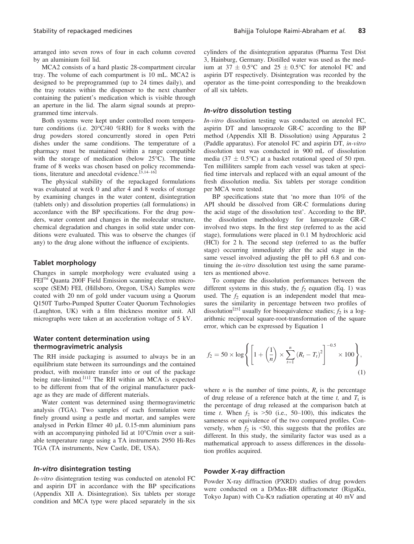arranged into seven rows of four in each column covered by an aluminium foil lid.

MCA2 consists of a hard plastic 28-compartment circular tray. The volume of each compartment is 10 mL. MCA2 is designed to be preprogrammed (up to 24 times daily), and the tray rotates within the dispenser to the next chamber containing the patient's medication which is visible through an aperture in the lid. The alarm signal sounds at preprogrammed time intervals.

Both systems were kept under controlled room temperature conditions (i.e. 20°C/40 %RH) for 8 weeks with the drug powders stored concurrently stored in open Petri dishes under the same conditions. The temperature of a pharmacy must be maintained within a range compatible with the storage of medication (below 25°C). The time frame of 8 weeks was chosen based on policy recommendations, literature and anecdotal evidence.<sup>[3,14–16]</sup>

The physical stability of the repackaged formulations was evaluated at week 0 and after 4 and 8 weeks of storage by examining changes in the water content, disintegration (tablets only) and dissolution properties (all formulations) in accordance with the BP specifications. For the drug powders, water content and changes in the molecular structure, chemical degradation and changes in solid state under conditions were evaluated. This was to observe the changes (if any) to the drug alone without the influence of excipients.

#### Tablet morphology

Changes in sample morphology were evaluated using a FEI<sup>™</sup> Quanta 200F Field Emission scanning electron microscope (SEM) FEI, (Hillsboro, Oregon, USA) Samples were coated with 20 nm of gold under vacuum using a Quorum Q150T Turbo-Pumped Sputter Coater Quorum Technologies (Laughton, UK) with a film thickness monitor unit. All micrographs were taken at an acceleration voltage of 5 kV.

#### Water content determination using thermogravimetric analysis

The RH inside packaging is assumed to always be in an equilibrium state between its surroundings and the contained product, with moisture transfer into or out of the package being rate-limited.<sup>[11]</sup> The RH within an MCA is expected to be different from that of the original manufacturer package as they are made of different materials.

Water content was determined using thermogravimetric analysis (TGA). Two samples of each formulation were finely ground using a pestle and mortar, and samples were analysed in Perkin Elmer 40  $\mu$ L 0.15-mm aluminium pans with an accompanying pinholed lid at 10°C/min over a suitable temperature range using a TA instruments 2950 Hi-Res TGA (TA instruments, New Castle, DE, USA).

#### In-vitro disintegration testing

In-vitro disintegration testing was conducted on atenolol FC and aspirin DT in accordance with the BP specifications (Appendix XII A. Disintegration). Six tablets per storage condition and MCA type were placed separately in the six

cylinders of the disintegration apparatus (Pharma Test Dist 3, Hainburg, Germany. Distilled water was used as the medium at  $37 \pm 0.5$ °C and  $25 \pm 0.5$ °C for atenolol FC and aspirin DT respectively. Disintegration was recorded by the operator as the time-point corresponding to the breakdown of all six tablets.

#### In-vitro dissolution testing

In-vitro dissolution testing was conducted on atenolol FC, aspirin DT and lansoprazole GR-C according to the BP method (Appendix XII B. Dissolution) using Apparatus 2 (Paddle apparatus). For atenolol FC and aspirin DT, in-vitro dissolution test was conducted in 900 mL of dissolution media (37  $\pm$  0.5°C) at a basket rotational speed of 50 rpm. Ten milliliters sample from each vessel was taken at specified time intervals and replaced with an equal amount of the fresh dissolution media. Six tablets per storage condition per MCA were tested.

BP specifications state that 'no more than 10% of the API should be dissolved from GR-C formulations during the acid stage of the dissolution test'. According to the BP, the dissolution methodology for lansoprazole GR-C involved two steps. In the first step (referred to as the acid stage), formulations were placed in 0.1 M hydrochloric acid (HCl) for 2 h. The second step (referred to as the buffer stage) occurring immediately after the acid stage in the same vessel involved adjusting the pH to pH 6.8 and continuing the *in-vitro* dissolution test using the same parameters as mentioned above.

To compare the dissolution performances between the different systems in this study, the  $f_2$  equation (Eq. 1) was used. The  $f_2$  equation is an independent model that measures the similarity in percentage between two profiles of dissolution<sup>[25]</sup> usually for bioequivalence studies;  $\hat{f}_2$  is a logarithmic reciprocal square-root-transformation of the square error, which can be expressed by Equation 1

$$
f_2 = 50 \times \log \left\{ \left[ 1 + \left( \frac{1}{n} \right) \times \sum_{t=1}^{n} \left( R_t - T_t \right)^2 \right]^{-0.5} \times 100 \right\},\tag{1}
$$

where *n* is the number of time points,  $R_t$  is the percentage of drug release of a reference batch at the time t, and  $T_t$  is the percentage of drug released at the comparison batch at time t. When  $f_2$  is >50 (i.e., 50–100), this indicates the sameness or equivalence of the two compared profiles. Conversely, when  $f_2$  is <50, this suggests that the profiles are different. In this study, the similarity factor was used as a mathematical approach to assess differences in the dissolution profiles acquired.

#### Powder X-ray diffraction

Powder X-ray diffraction (PXRD) studies of drug powders were conducted on a D/Max-BR diffractometer (RigaKu, Tokyo Japan) with Cu-K $\alpha$  radiation operating at 40 mV and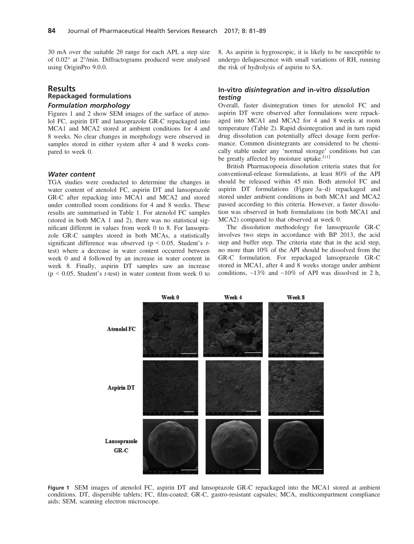30 mA over the suitable 2θ range for each API, a step size of 0.02° at 2°/min. Diffractograms produced were analysed using OriginPro 9.0.0.

## Results Repackaged formulations

### Formulation morphology

Figures 1 and 2 show SEM images of the surface of atenolol FC, aspirin DT and lansoprazole GR-C repackaged into MCA1 and MCA2 stored at ambient conditions for 4 and 8 weeks. No clear changes in morphology were observed in samples stored in either system after 4 and 8 weeks compared to week 0.

#### Water content

TGA studies were conducted to determine the changes in water content of atenolol FC, aspirin DT and lansoprazole GR-C after repacking into MCA1 and MCA2 and stored under controlled room conditions for 4 and 8 weeks. These results are summarised in Table 1. For atenolol FC samples (stored in both MCA 1 and 2), there was no statistical significant different in values from week 0 to 8. For lansoprazole GR-C samples stored in both MCAs, a statistically significant difference was observed ( $p \le 0.05$ , Student's ttest) where a decrease in water content occurred between week 0 and 4 followed by an increase in water content in week 8. Finally, aspirin DT samples saw an increase  $(p \le 0.05$ , Student's *t*-test) in water content from week 0 to 8. As aspirin is hygroscopic, it is likely to be susceptible to undergo deliquescence with small variations of RH, running the risk of hydrolysis of aspirin to SA.

#### In-vitro disintegration and in-vitro dissolution testing

Overall, faster disintegration times for atenolol FC and aspirin DT were observed after formulations were repackaged into MCA1 and MCA2 for 4 and 8 weeks at room temperature (Table 2). Rapid disintegration and in turn rapid drug dissolution can potentially affect dosage form performance. Common disintegrants are considered to be chemically stable under any 'normal storage' conditions but can be greatly affected by moisture uptake.<sup>[11]</sup>

British Pharmacopoeia dissolution criteria states that for conventional-release formulations, at least 80% of the API should be released within 45 min. Both atenolol FC and aspirin DT formulations (Figure 3a–d) repackaged and stored under ambient conditions in both MCA1 and MCA2 passed according to this criteria. However, a faster dissolution was observed in both formulations (in both MCA1 and MCA2) compared to that observed at week 0.

The dissolution methodology for lansoprazole GR-C involves two steps in accordance with BP 2013, the acid step and buffer step. The criteria state that in the acid step, no more than 10% of the API should be dissolved from the GR-C formulation. For repackaged lansoprazole GR-C stored in MCA1, after 4 and 8 weeks storage under ambient conditions,  $\sim$ 13% and  $\sim$ 10% of API was dissolved in 2 h,



Figure 1 SEM images of atenolol FC, aspirin DT and lansoprazole GR-C repackaged into the MCA1 stored at ambient conditions. DT, dispersible tablets; FC, film-coated; GR-C, gastro-resistant capsules; MCA, multicompartment compliance aids; SEM, scanning electron microscope.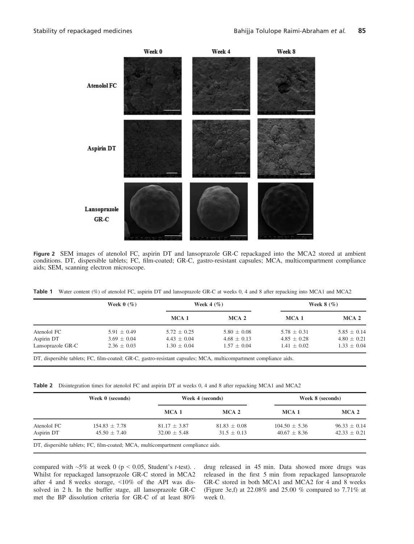

Figure 2 SEM images of atenolol FC, aspirin DT and lansoprazole GR-C repackaged into the MCA2 stored at ambient<br>conditions. DT, dispersible tablets; FC, film-coated; GR-C, gastro-resistant capsules; MCA, multicompartment c aids; SEM, scanning electron microscope.

|  | Table 1 Water content (%) of atenolol FC, aspirin DT and lansoprazole GR-C at weeks 0, 4 and 8 after repacking into MCA1 and MCA2 |  |  |  |  |  |  |  |  |  |  |  |  |  |  |
|--|-----------------------------------------------------------------------------------------------------------------------------------|--|--|--|--|--|--|--|--|--|--|--|--|--|--|
|--|-----------------------------------------------------------------------------------------------------------------------------------|--|--|--|--|--|--|--|--|--|--|--|--|--|--|

| Week $0 \ (\%)$ |                 |                 | Week $8$ $(\%)$                                                                           |                                    |  |
|-----------------|-----------------|-----------------|-------------------------------------------------------------------------------------------|------------------------------------|--|
|                 | MCA 1           | MCA 2           | MCA <sub>1</sub>                                                                          | MCA 2                              |  |
| $5.91 \pm 0.49$ | $5.72 \pm 0.25$ | $5.80 \pm 0.08$ | $5.78 \pm 0.31$                                                                           | $5.85 \pm 0.14$                    |  |
|                 |                 |                 |                                                                                           | $4.80 \pm 0.21$<br>$1.33 \pm 0.04$ |  |
|                 | $3.69 \pm 0.04$ | $4.43 \pm 0.04$ | Week 4 $(\%)$<br>$4.68 \pm 0.13$<br>$2.36 \pm 0.03$<br>$1.30 \pm 0.04$<br>$1.57 \pm 0.04$ | $4.85 \pm 0.28$<br>$1.41 \pm 0.02$ |  |

DT, dispersible tablets; FC, film-coated; GR-C, gastro-resistant capsules; MCA, multicompartment compliance aids.

Table 2 Disintegration times for atenolol FC and aspirin DT at weeks 0, 4 and 8 after repacking MCA1 and MCA2

|             | Week 0 (seconds)                                                                 |                  | Week 4 (seconds) | Week 8 (seconds)  |                  |  |
|-------------|----------------------------------------------------------------------------------|------------------|------------------|-------------------|------------------|--|
|             |                                                                                  | MCA <sub>1</sub> | MCA <sub>2</sub> | MCA <sub>1</sub>  | MCA <sub>2</sub> |  |
| Atenolol FC | $154.83 \pm 7.78$                                                                | $81.17 \pm 3.87$ | $81.83 \pm 0.08$ | $104.50 \pm 5.36$ | $96.33 \pm 0.14$ |  |
| Aspirin DT  | $45.50 \pm 7.40$                                                                 | $32.00 \pm 5.48$ | $31.5 \pm 0.13$  | $40.67 \pm 8.36$  | $42.33 \pm 0.21$ |  |
|             | DT, dispersible tablets; FC, film-coated; MCA, multicompartment compliance aids. |                  |                  |                   |                  |  |

compared with  $~5\%$  at week 0 (p < 0.05, Student's t-test). Whilst for repackaged lansoprazole GR-C stored in MCA2 after 4 and 8 weeks storage, <10% of the API was dissolved in 2 h. In the buffer stage, all lansoprazole GR-C met the BP dissolution criteria for GR-C of at least 80% drug released in 45 min. Data showed more drugs was released in the first 5 min from repackaged lansoprazole GR-C stored in both MCA1 and MCA2 for 4 and 8 weeks (Figure 3e,f) at 22.08% and 25.00 % compared to 7.71% at week 0.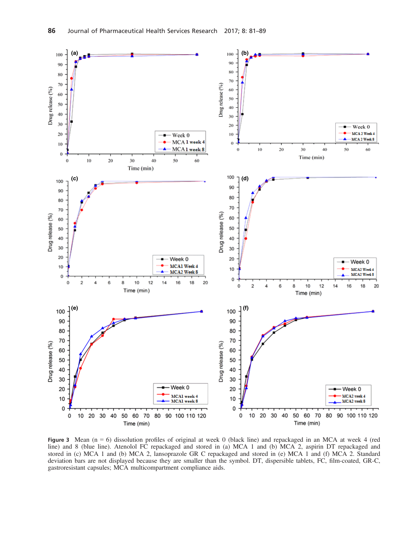

Figure 3 Mean ( $n = 6$ ) dissolution profiles of original at week 0 (black line) and repackaged in an MCA at week 4 (red line) and 8 (blue line). Atenolol FC repackaged and stored in (a) MCA 1 and (b) MCA 2, aspirin DT repackaged and stored in (c) MCA 1 and (b) MCA 2, lansoprazole GR C repackaged and stored in (e) MCA 1 and (f) MCA 2. Standard deviation bars are not displayed because they are smaller than the symbol. DT, dispersible tablets, FC, film-coated, GR-C, gastroresistant capsules; MCA multicompartment compliance aids.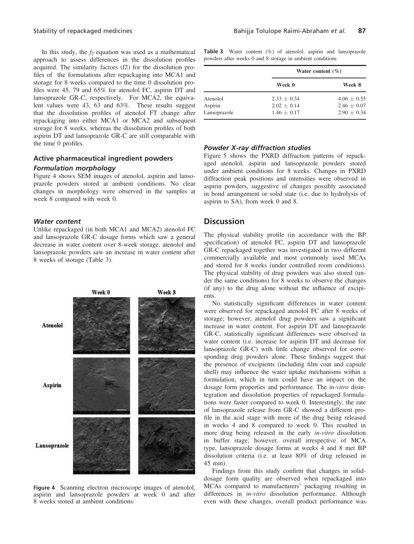In this study, the  $f_2$  equation was used as a mathematical approach to assess differences in the dissolution profiles acquired. The similarity factors (f2) for the dissolution profiles of the formulations after repackaging into MCA1 and storage for 8 weeks compared to the time 0 dissolution profiles were 45, 79 and 65% for atenolol FC, aspirin DT and lansoprazole GR-C, respectively. For MCA2, the equivalent values were 43, 63 and 63%. These results suggest that the dissolution profiles of atenolol FT change after repackaging into either MCA1 or MCA2 and subsequent storage for 8 weeks, whereas the dissolution profiles of both aspirin DT and lansoprazole GR-C are still comparable with the time 0 profiles.

#### Active pharmaceutical ingredient powders Formulation morphology

Figure 4 shows SEM images of atenolol, aspirin and lansoprazole powders stored at ambient conditions. No clear changes in morphology were observed in the samples at week 8 compared with week 0.

#### Water content

Unlike repackaged (in both MCA1 and MCA2) atenolol FC and lansoprazole GR-C dosage forms which saw a general decrease in water content over 8-week storage, atenolol and lansoprazole powders saw an increase in water content after 8 weeks of storage (Table 3).



Figure 4 Scanning electron microscope images of atenolol, aspirin and lansoprazole powders at week 0 and after 8 weeks stored at ambient conditions.

Table 3 Water content (%) of atenolol, aspirin and lansoprazole powders after weeks 0 and 8 storage in ambient conditions

|              |               | Water content $(\% )$ |  |  |
|--------------|---------------|-----------------------|--|--|
|              | Week 0        | Week 8                |  |  |
| Atenolol     | $2.33 + 0.34$ | $4.06 + 0.55$         |  |  |
| Aspirin      | $2.02 + 0.14$ | $2.46 \pm 0.07$       |  |  |
| Lansoprazole | $1.46 + 0.17$ | $2.90 + 0.34$         |  |  |

#### Powder X-ray diffraction studies

Figure 5 shows the PXRD diffraction patterns of repackaged atenolol, aspirin and lansoprazole powders stored under ambient conditions for 8 weeks. Changes in PXRD diffraction peak positions and intensities were observed in aspirin powders, suggestive of changes possibly associated in bond arrangement or solid state (i.e. due to hydrolysis of aspirin to SA), from week 0 and 8.

#### **Discussion**

The physical stability profile (in accordance with the BP specification) of atenolol FC, aspirin DT and lansoprazole GR-C repackaged together was investigated in two different commercially available and most commonly used MCAs and stored for 8 weeks (under controlled room conditions). The physical stability of drug powders was also stored (under the same conditions) for 8 weeks to observe the changes (if any) to the drug alone without the influence of excipients.

No statistically significant differences in water content were observed for repackaged atenolol FC after 8 weeks of storage; however, atenolol drug powders saw a significant increase in water content. For aspirin DT and lansoprazole GR-C, statistically significant differences were observed in water content (i.e. increase for aspirin DT and decrease for lansoprazole GR-C) with little change observed for corresponding drug powders alone. These findings suggest that the presence of excipients (including film coat and capsule shell) may influence the water uptake mechanisms within a formulation, which in turn could have an impact on the dosage form properties and performance. The in-vitro disintegration and dissolution properties of repackaged formulations were faster compared to week 0. Interestingly, the rate of lansoprazole release from GR-C showed a different profile in the acid stage with more of the drug being released in weeks 4 and 8 compared to week 0. This resulted in more drug being released in the early *in-vitro* dissolution in buffer stage; however, overall irrespective of MCA type, lansoprazole dosage forms at weeks 4 and 8 met BP dissolution criteria (i.e. at least 80% of drug released in 45 min).

Findings from this study confirm that changes in soliddosage form quality are observed when repackaged into MCAs compared to manufacturers' packaging resulting in differences in in-vitro dissolution performance. Although even with these changes, overall product performance was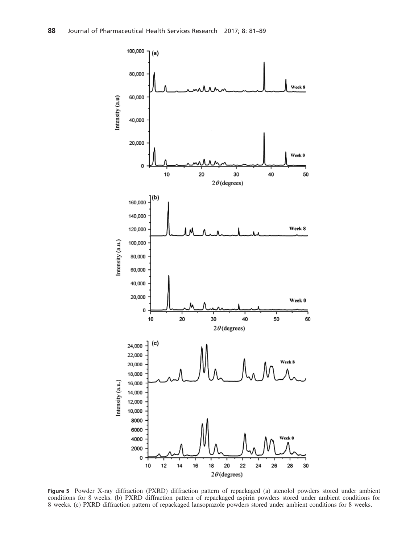

Figure 5 Powder X-ray diffraction (PXRD) diffraction pattern of repackaged (a) atenolol powders stored under ambient conditions for 8 weeks. (b) PXRD diffraction pattern of repackaged aspirin powders stored under ambient conditions for 8 weeks. (c) PXRD diffraction pattern of repackaged lansoprazole powders stored under ambient conditions for 8 weeks.